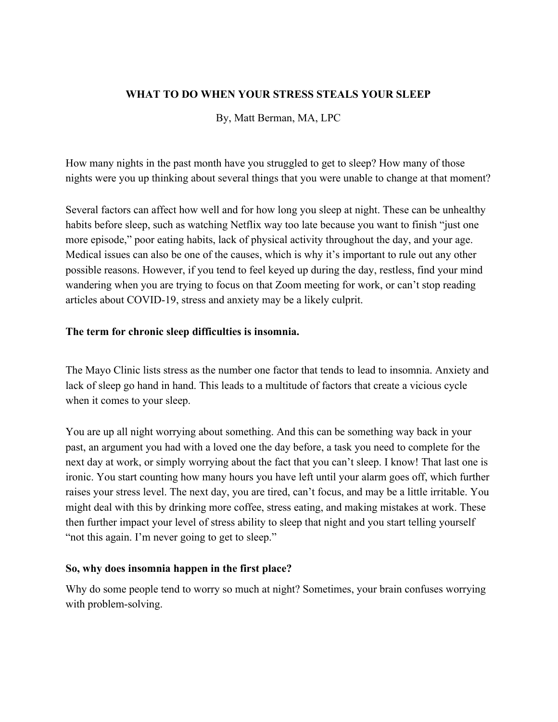### **WHAT TO DO WHEN YOUR STRESS STEALS YOUR SLEEP**

By, Matt Berman, MA, LPC

How many nights in the past month have you struggled to get to sleep? How many of those nights were you up thinking about several things that you were unable to change at that moment?

Several factors can affect how well and for how long you sleep at night. These can be unhealthy habits before sleep, such as watching Netflix way too late because you want to finish "just one more episode," poor eating habits, lack of physical activity throughout the day, and your age. Medical issues can also be one of the causes, which is why it's important to rule out any other possible reasons. However, if you tend to feel keyed up during the day, restless, find your mind wandering when you are trying to focus on that Zoom meeting for work, or can't stop reading articles about COVID-19, stress and anxiety may be a likely culprit.

#### **The term for chronic sleep difficulties is insomnia.**

The [Mayo Clinic](https://www.mayoclinic.org/diseases-conditions/insomnia/symptoms-causes/syc-20355167) lists stress as the number one factor that tends to lead to insomnia. Anxiety and lack of sleep go hand in hand. This leads to a multitude of factors that create a vicious cycle when it comes to your sleep.

You are up all night worrying about something. And this can be something way back in your past, an argument you had with a loved one the day before, a task you need to complete for the next day at work, or simply worrying about the fact that you can't sleep. I know! That last one is ironic. You start counting how many hours you have left until your alarm goes off, which further raises your stress level. The next day, you are tired, can't focus, and may be a little irritable. You might deal with this by drinking more coffee, stress eating, and making mistakes at work. These then further impact your level of stress ability to sleep that night and you start telling yourself "not this again. I'm never going to get to sleep."

#### **So, why does insomnia happen in the first place?**

Why do some people tend to worry so much at night? Sometimes, your brain confuses worrying with problem-solving.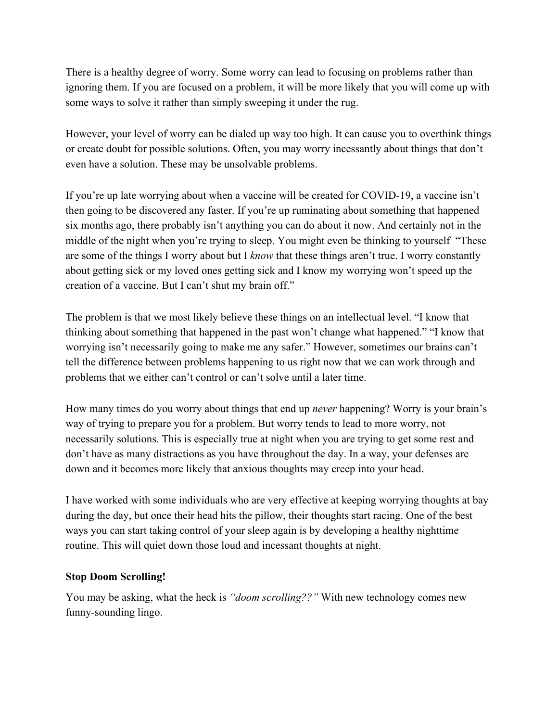There is a healthy degree of worry. Some worry can lead to focusing on problems rather than ignoring them. If you are focused on a problem, it will be more likely that you will come up with some ways to solve it rather than simply sweeping it under the rug.

However, your level of worry can be dialed up way too high. It can cause you to overthink things or create doubt for possible solutions. Often, you may worry incessantly about things that don't even have a solution. These may be unsolvable problems.

If you're up late worrying about when a vaccine will be created for COVID-19, a vaccine isn't then going to be discovered any faster. If you're up ruminating about something that happened six months ago, there probably isn't anything you can do about it now. And certainly not in the middle of the night when you're trying to sleep. You might even be thinking to yourself "These are some of the things I worry about but I *know* that these things aren't true. I worry constantly about getting sick or my loved ones getting sick and I know my worrying won't speed up the creation of a vaccine. But I can't shut my brain off."

The problem is that we most likely believe these things on an intellectual level. "I know that thinking about something that happened in the past won't change what happened." "I know that worrying isn't necessarily going to make me any safer." However, sometimes our brains can't tell the difference between problems happening to us right now that we can work through and problems that we either can't control or can't solve until a later time.

How many times do you worry about things that end up *never* happening? Worry is your brain's way of trying to prepare you for a problem. But worry tends to lead to more worry, not necessarily solutions. This is especially true at night when you are trying to get some rest and don't have as many distractions as you have throughout the day. In a way, your defenses are down and it becomes more likely that anxious thoughts may creep into your head.

I have worked with some individuals who are very effective at keeping worrying thoughts at bay during the day, but once their head hits the pillow, their thoughts start racing. One of the best ways you can start taking control of your sleep again is by developing a healthy nighttime routine. This will quiet down those loud and incessant thoughts at night.

#### **Stop Doom Scrolling!**

You may be asking, what the heck is *"doom scrolling??"* With new technology comes new funny-sounding lingo.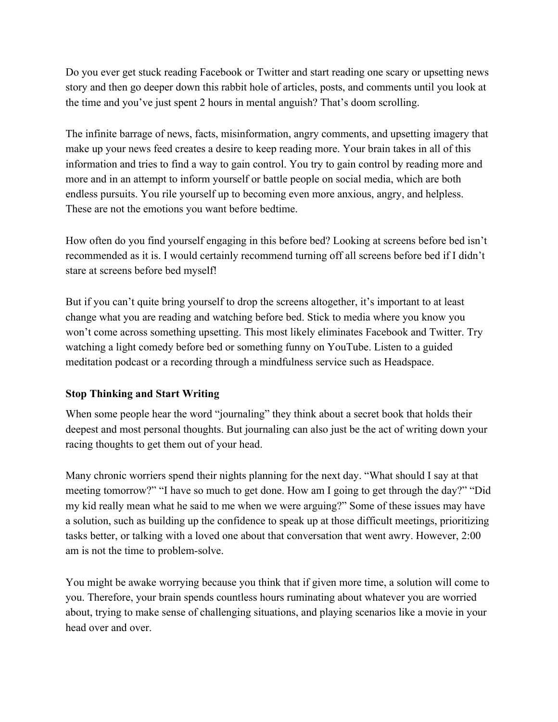Do you ever get stuck reading Facebook or Twitter and start reading one scary or upsetting news story and then go deeper down this rabbit hole of articles, posts, and comments until you look at the time and you've just spent 2 hours in mental anguish? That's doom scrolling.

The infinite barrage of news, facts, misinformation, angry comments, and upsetting imagery that make up your news feed creates a desire to keep reading more. Your brain takes in all of this information and tries to find a way to gain control. You try to gain control by reading more and more and in an attempt to inform yourself or battle people on social media, which are both endless pursuits. You rile yourself up to becoming even more anxious, angry, and helpless. These are not the emotions you want before bedtime.

How often do you find yourself engaging in this before bed? Looking at screens before bed isn't recommended as it is. I would certainly recommend turning off all screens before bed if I didn't stare at screens before bed myself!

But if you can't quite bring yourself to drop the screens altogether, it's important to at least change what you are reading and watching before bed. Stick to media where you know you won't come across something upsetting. This most likely eliminates Facebook and Twitter. Try watching a light comedy before bed or something funny on YouTube. Listen to a guided meditation podcast or a recording through a mindfulness service such as [Headspace](https://www.headspace.com/).

## **Stop Thinking and Start Writing**

When some people hear the word "journaling" they think about a secret book that holds their deepest and most personal thoughts. But journaling can also just be the act of writing down your racing thoughts to get them out of your head.

Many chronic worriers spend their nights planning for the next day. "What should I say at that meeting tomorrow?" "I have so much to get done. How am I going to get through the day?" "Did my kid really mean what he said to me when we were arguing?" Some of these issues may have a solution, such as building up the confidence to speak up at those difficult meetings, prioritizing tasks better, or talking with a loved one about that conversation that went awry. However, 2:00 am is not the time to problem-solve.

You might be awake worrying because you think that if given more time, a solution will come to you. Therefore, your brain spends countless hours ruminating about whatever you are worried about, trying to make sense of challenging situations, and playing scenarios like a movie in your head over and over.